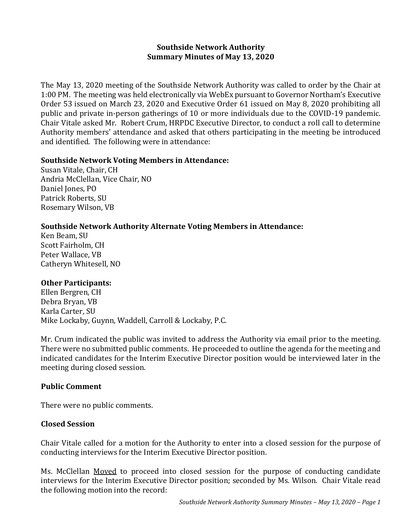## **Southside Network Authority Summary Minutes of May 13, 2020**

The May 13, 2020 meeting of the Southside Network Authority was called to order by the Chair at 1:00 PM. The meeting was held electronically via WebEx pursuant to Governor Northam's Executive Order 53 issued on March 23, 2020 and Executive Order 61 issued on May 8, 2020 prohibiting all public and private in-person gatherings of 10 or more individuals due to the COVID-19 pandemic. Chair Vitale asked Mr. Robert Crum, HRPDC Executive Director, to conduct a roll call to determine Authority members' attendance and asked that others participating in the meeting be introduced and identified. The following were in attendance:

### **Southside Network Voting Members in Attendance:**

Susan Vitale, Chair, CH Andria McClellan, Vice Chair, NO Daniel Jones, PO Patrick Roberts, SU Rosemary Wilson, VB

## **Southside Network Authority Alternate Voting Members in Attendance:**

Ken Beam, SU Scott Fairholm, CH Peter Wallace, VB Catheryn Whitesell, NO

### **Other Participants:**

Ellen Bergren, CH Debra Bryan, VB Karla Carter, SU Mike Lockaby, Guynn, Waddell, Carroll & Lockaby, P.C.

Mr. Crum indicated the public was invited to address the Authority via email prior to the meeting. There were no submitted public comments. He proceeded to outline the agenda for the meeting and indicated candidates for the Interim Executive Director position would be interviewed later in the meeting during closed session.

# **Public Comment**

There were no public comments.

### **Closed Session**

Chair Vitale called for a motion for the Authority to enter into a closed session for the purpose of conducting interviews for the Interim Executive Director position.

Ms. McClellan Moved to proceed into closed session for the purpose of conducting candidate interviews for the Interim Executive Director position; seconded by Ms. Wilson. Chair Vitale read the following motion into the record: